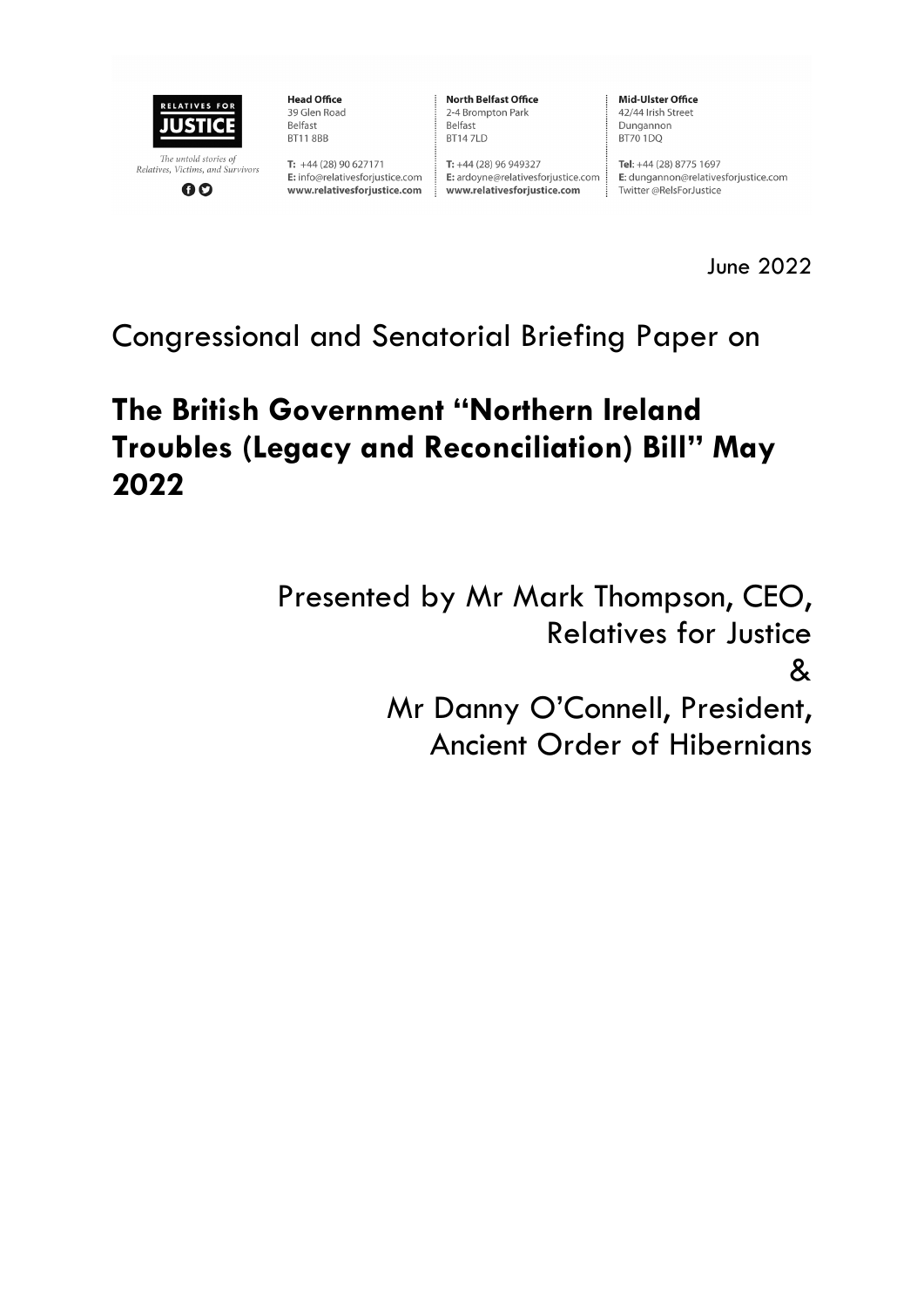

The untold stories of

Relatives, Victims, and Survivors

00

**Head Office** 39 Glen Road Belfast **BT11 8BB** 

T:  $+44(28)90627171$ E: info@relativesforjustice.com www.relativesforjustice.com **North Belfast Office** 2-4 Brompton Park Belfast **BT147LD** 

 $T: +44(28)96949327$ E: ardoyne@relativesforjustice.com www.relativesforjustice.com

Mid-Ulster Office 42/44 Irish Street Dungannon **BT70 1DQ** 

Tel: +44 (28) 8775 1697 E: dungannon@relativesforjustice.com Twitter @RelsForJustice

June 2022

Congressional and Senatorial Briefing Paper on

# **The British Government "Northern Ireland Troubles (Legacy and Reconciliation) Bill" May 2022**

Presented by Mr Mark Thompson, CEO, Relatives for Justice & Mr Danny O'Connell, President, Ancient Order of Hibernians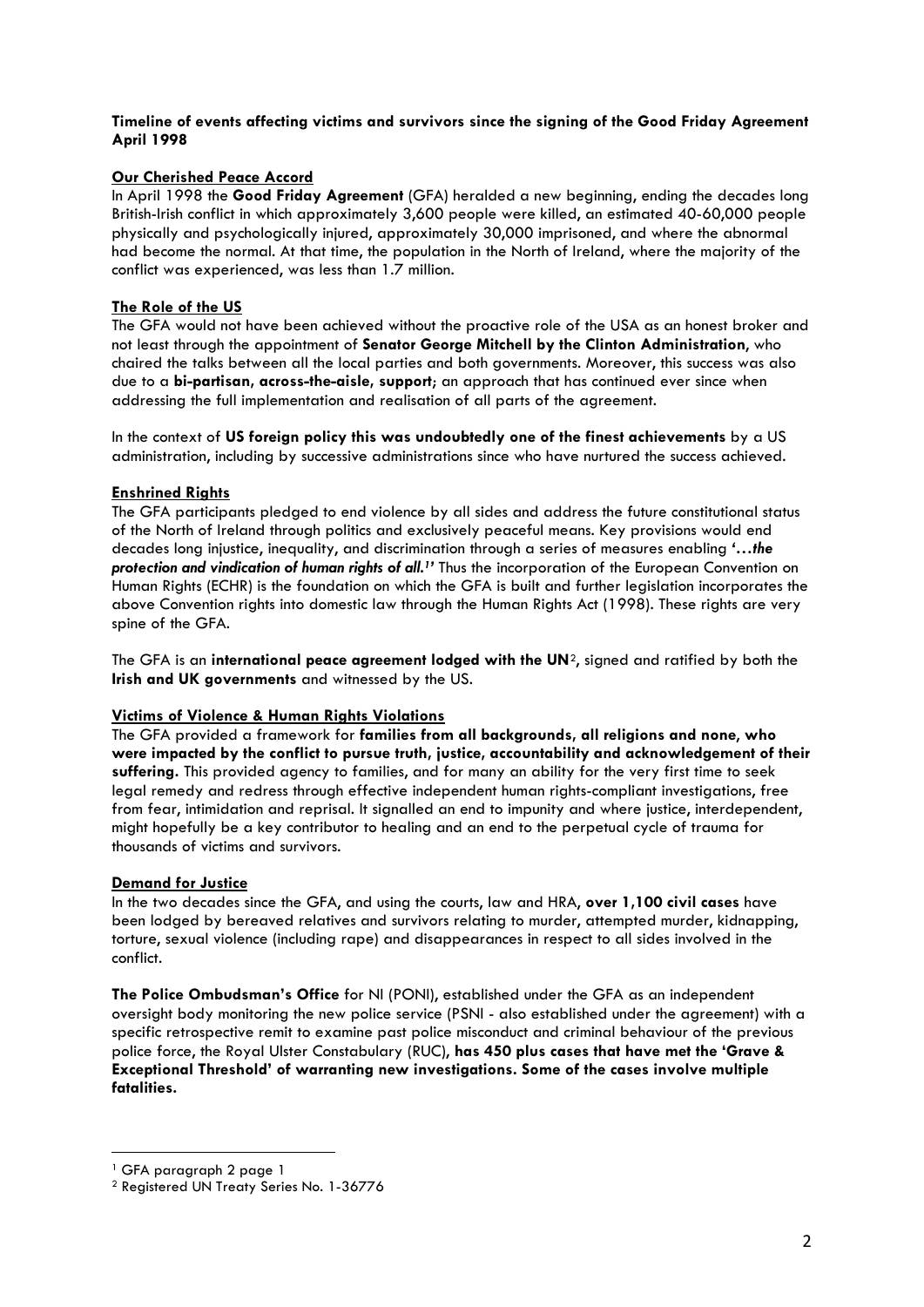## **Timeline of events affecting victims and survivors since the signing of the Good Friday Agreement April 1998**

# **Our Cherished Peace Accord**

In April 1998 the **Good Friday Agreement** (GFA) heralded a new beginning, ending the decades long British-Irish conflict in which approximately 3,600 people were killed, an estimated 40-60,000 people physically and psychologically injured, approximately 30,000 imprisoned, and where the abnormal had become the normal. At that time, the population in the North of Ireland, where the majority of the conflict was experienced, was less than 1.7 million.

# **The Role of the US**

The GFA would not have been achieved without the proactive role of the USA as an honest broker and not least through the appointment of **Senator George Mitchell by the Clinton Administration**, who chaired the talks between all the local parties and both governments. Moreover, this success was also due to a **bi-partisan, across-the-aisle, support**; an approach that has continued ever since when addressing the full implementation and realisation of all parts of the agreement.

In the context of **US foreign policy this was undoubtedly one of the finest achievements** by a US administration, including by successive administrations since who have nurtured the success achieved.

#### **Enshrined Rights**

The GFA participants pledged to end violence by all sides and address the future constitutional status of the North of Ireland through politics and exclusively peaceful means. Key provisions would end decades long injustice, inequality, and discrimination through a series of measures enabling *'…the protection and vindication of human rights of all.[1](#page-1-0)'* Thus the incorporation of the European Convention on Human Rights (ECHR) is the foundation on which the GFA is built and further legislation incorporates the above Convention rights into domestic law through the Human Rights Act (1998). These rights are very spine of the GFA.

The GFA is an **international peace agreement lodged with the UN**[2](#page-1-1), signed and ratified by both the **Irish and UK governments** and witnessed by the US.

#### **Victims of Violence & Human Rights Violations**

The GFA provided a framework for **families from all backgrounds, all religions and none**, **who were impacted by the conflict to pursue truth, justice, accountability and acknowledgement of their suffering.** This provided agency to families, and for many an ability for the very first time to seek legal remedy and redress through effective independent human rights-compliant investigations, free from fear, intimidation and reprisal. It signalled an end to impunity and where justice, interdependent, might hopefully be a key contributor to healing and an end to the perpetual cycle of trauma for thousands of victims and survivors.

#### **Demand for Justice**

In the two decades since the GFA, and using the courts, law and HRA, **over 1,100 civil cases** have been lodged by bereaved relatives and survivors relating to murder, attempted murder, kidnapping, torture, sexual violence (including rape) and disappearances in respect to all sides involved in the conflict.

**The Police Ombudsman's Office** for NI (PONI), established under the GFA as an independent oversight body monitoring the new police service (PSNI - also established under the agreement) with a specific retrospective remit to examine past police misconduct and criminal behaviour of the previous police force, the Royal Ulster Constabulary (RUC), **has 450 plus cases that have met the 'Grave & Exceptional Threshold' of warranting new investigations. Some of the cases involve multiple fatalities.** 

1

<span id="page-1-0"></span><sup>1</sup> GFA paragraph 2 page 1

<span id="page-1-1"></span><sup>2</sup> Registered UN Treaty Series No. 1-36776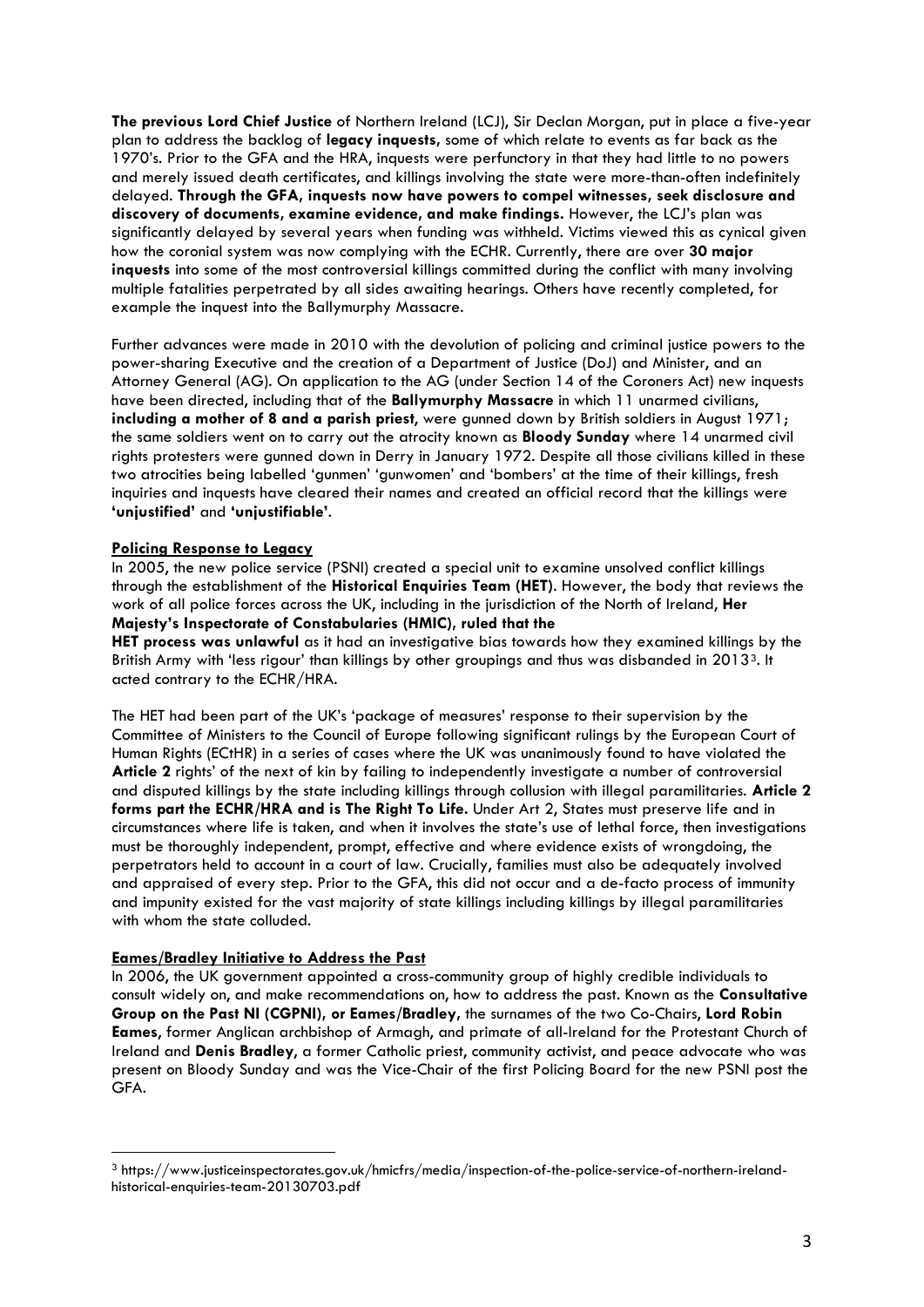**The previous Lord Chief Justice** of Northern Ireland (LCJ), Sir Declan Morgan, put in place a five-year plan to address the backlog of **legacy inquests,** some of which relate to events as far back as the 1970's. Prior to the GFA and the HRA, inquests were perfunctory in that they had little to no powers and merely issued death certificates, and killings involving the state were more-than-often indefinitely delayed. **Through the GFA, inquests now have powers to compel witnesses, seek disclosure and discovery of documents, examine evidence, and make findings.** However, the LCJ's plan was significantly delayed by several years when funding was withheld. Victims viewed this as cynical given how the coronial system was now complying with the ECHR. Currently, there are over **30 major inquests** into some of the most controversial killings committed during the conflict with many involving multiple fatalities perpetrated by all sides awaiting hearings. Others have recently completed, for example the inquest into the Ballymurphy Massacre.

Further advances were made in 2010 with the devolution of policing and criminal justice powers to the power-sharing Executive and the creation of a Department of Justice (DoJ) and Minister, and an Attorney General (AG). On application to the AG (under Section 14 of the Coroners Act) new inquests have been directed, including that of the **Ballymurphy Massacre** in which 11 unarmed civilians, **including a mother of 8 and a parish priest**, were gunned down by British soldiers in August 1971; the same soldiers went on to carry out the atrocity known as **Bloody Sunday** where 14 unarmed civil rights protesters were gunned down in Derry in January 1972. Despite all those civilians killed in these two atrocities being labelled 'gunmen' 'gunwomen' and 'bombers' at the time of their killings, fresh inquiries and inquests have cleared their names and created an official record that the killings were **'unjustified'** and **'unjustifiable'**.

#### **Policing Response to Legacy**

In 2005, the new police service (PSNI) created a special unit to examine unsolved conflict killings through the establishment of the **Historical Enquiries Team (HET)**. However, the body that reviews the work of all police forces across the UK, including in the jurisdiction of the North of Ireland, **Her Majesty's Inspectorate of Constabularies (HMIC), ruled that the**

**HET process was unlawful** as it had an investigative bias towards how they examined killings by the British Army with 'less rigour' than killings by other groupings and thus was disbanded in 2013[3.](#page-2-0) It acted contrary to the ECHR/HRA.

The HET had been part of the UK's 'package of measures' response to their supervision by the Committee of Ministers to the Council of Europe following significant rulings by the European Court of Human Rights (ECtHR) in a series of cases where the UK was unanimously found to have violated the **Article 2** rights' of the next of kin by failing to independently investigate a number of controversial and disputed killings by the state including killings through collusion with illegal paramilitaries. **Article 2 forms part the ECHR/HRA and is The Right To Life.** Under Art 2, States must preserve life and in circumstances where life is taken, and when it involves the state's use of lethal force, then investigations must be thoroughly independent, prompt, effective and where evidence exists of wrongdoing, the perpetrators held to account in a court of law. Crucially, families must also be adequately involved and appraised of every step. Prior to the GFA, this did not occur and a de-facto process of immunity and impunity existed for the vast majority of state killings including killings by illegal paramilitaries with whom the state colluded.

#### **Eames/Bradley Initiative to Address the Past**

1

In 2006, the UK government appointed a cross-community group of highly credible individuals to consult widely on, and make recommendations on, how to address the past. Known as the **Consultative Group on the Past NI (CGPNI), or Eames/Bradley,** the surnames of the two Co-Chairs, **Lord Robin Eames**, former Anglican archbishop of Armagh, and primate of all-Ireland for the Protestant Church of Ireland and **Denis Bradley**, a former Catholic priest, community activist, and peace advocate who was present on Bloody Sunday and was the Vice-Chair of the first Policing Board for the new PSNI post the GFA.

<span id="page-2-0"></span><sup>3</sup> https://www.justiceinspectorates.gov.uk/hmicfrs/media/inspection-of-the-police-service-of-northern-irelandhistorical-enquiries-team-20130703.pdf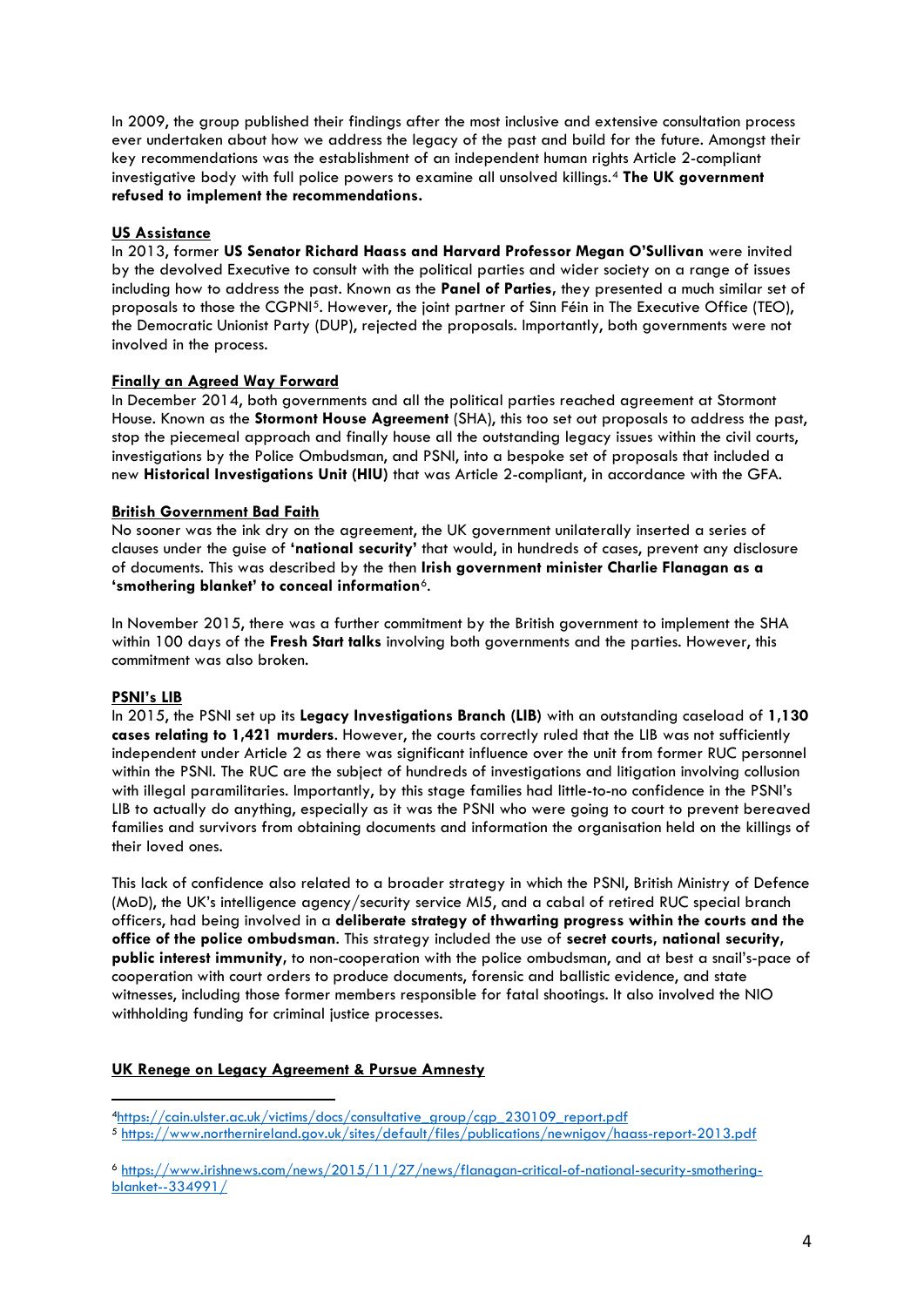In 2009, the group published their findings after the most inclusive and extensive consultation process ever undertaken about how we address the legacy of the past and build for the future. Amongst their key recommendations was the establishment of an independent human rights Article 2-compliant investigative body with full police powers to examine all unsolved killings.[4](#page-3-0) **The UK government refused to implement the recommendations.**

## **US Assistance**

In 2013, former **US Senator Richard Haass and Harvard Professor Megan O'Sullivan** were invited by the devolved Executive to consult with the political parties and wider society on a range of issues including how to address the past. Known as the **Panel of Parties,** they presented a much similar set of proposals to those the CGPNI<sup>5</sup>. However, the joint partner of Sinn Féin in The Executive Office (TEO), the Democratic Unionist Party (DUP), rejected the proposals. Importantly, both governments were not involved in the process.

#### **Finally an Agreed Way Forward**

In December 2014, both governments and all the political parties reached agreement at Stormont House. Known as the **Stormont House Agreement** (SHA), this too set out proposals to address the past, stop the piecemeal approach and finally house all the outstanding legacy issues within the civil courts, investigations by the Police Ombudsman, and PSNI, into a bespoke set of proposals that included a new **Historical Investigations Unit (HIU)** that was Article 2-compliant, in accordance with the GFA.

#### **British Government Bad Faith**

No sooner was the ink dry on the agreement, the UK government unilaterally inserted a series of clauses under the guise of **'national security'** that would, in hundreds of cases, prevent any disclosure of documents. This was described by the then **Irish government minister Charlie Flanagan as a 'smothering blanket' to conceal information**[6](#page-3-2).

In November 2015, there was a further commitment by the British government to implement the SHA within 100 days of the **Fresh Start talks** involving both governments and the parties. However, this commitment was also broken.

#### **PSNI's LIB**

1

In 2015, the PSNI set up its **Legacy Investigations Branch (LIB)** with an outstanding caseload of **1,130 cases relating to 1,421 murders**. However, the courts correctly ruled that the LIB was not sufficiently independent under Article 2 as there was significant influence over the unit from former RUC personnel within the PSNI. The RUC are the subject of hundreds of investigations and litigation involving collusion with illegal paramilitaries. Importantly, by this stage families had little-to-no confidence in the PSNI's LIB to actually do anything, especially as it was the PSNI who were going to court to prevent bereaved families and survivors from obtaining documents and information the organisation held on the killings of their loved ones.

This lack of confidence also related to a broader strategy in which the PSNI, British Ministry of Defence (MoD), the UK's intelligence agency/security service MI5, and a cabal of retired RUC special branch officers, had being involved in a **deliberate strategy of thwarting progress within the courts and the office of the police ombudsman**. This strategy included the use of **secret courts, national security, public interest immunity,** to non-cooperation with the police ombudsman, and at best a snail's-pace of cooperation with court orders to produce documents, forensic and ballistic evidence, and state witnesses, including those former members responsible for fatal shootings. It also involved the NIO withholding funding for criminal justice processes.

# **UK Renege on Legacy Agreement & Pursue Amnesty**

<span id="page-3-0"></span>[<sup>4</sup>https://cain.ulster.ac.uk/victims/docs/consultative\\_group/cgp\\_230109\\_report.pdf](https://cain.ulster.ac.uk/victims/docs/consultative_group/cgp_230109_report.pdf)

<span id="page-3-1"></span><sup>5</sup> <https://www.northernireland.gov.uk/sites/default/files/publications/newnigov/haass-report-2013.pdf>

<span id="page-3-2"></span><sup>6</sup> [https://www.irishnews.com/news/2015/11/27/news/flanagan-critical-of-national-security-smothering](https://www.irishnews.com/news/2015/11/27/news/flanagan-critical-of-national-security-smothering-blanket--334991/)[blanket--334991/](https://www.irishnews.com/news/2015/11/27/news/flanagan-critical-of-national-security-smothering-blanket--334991/)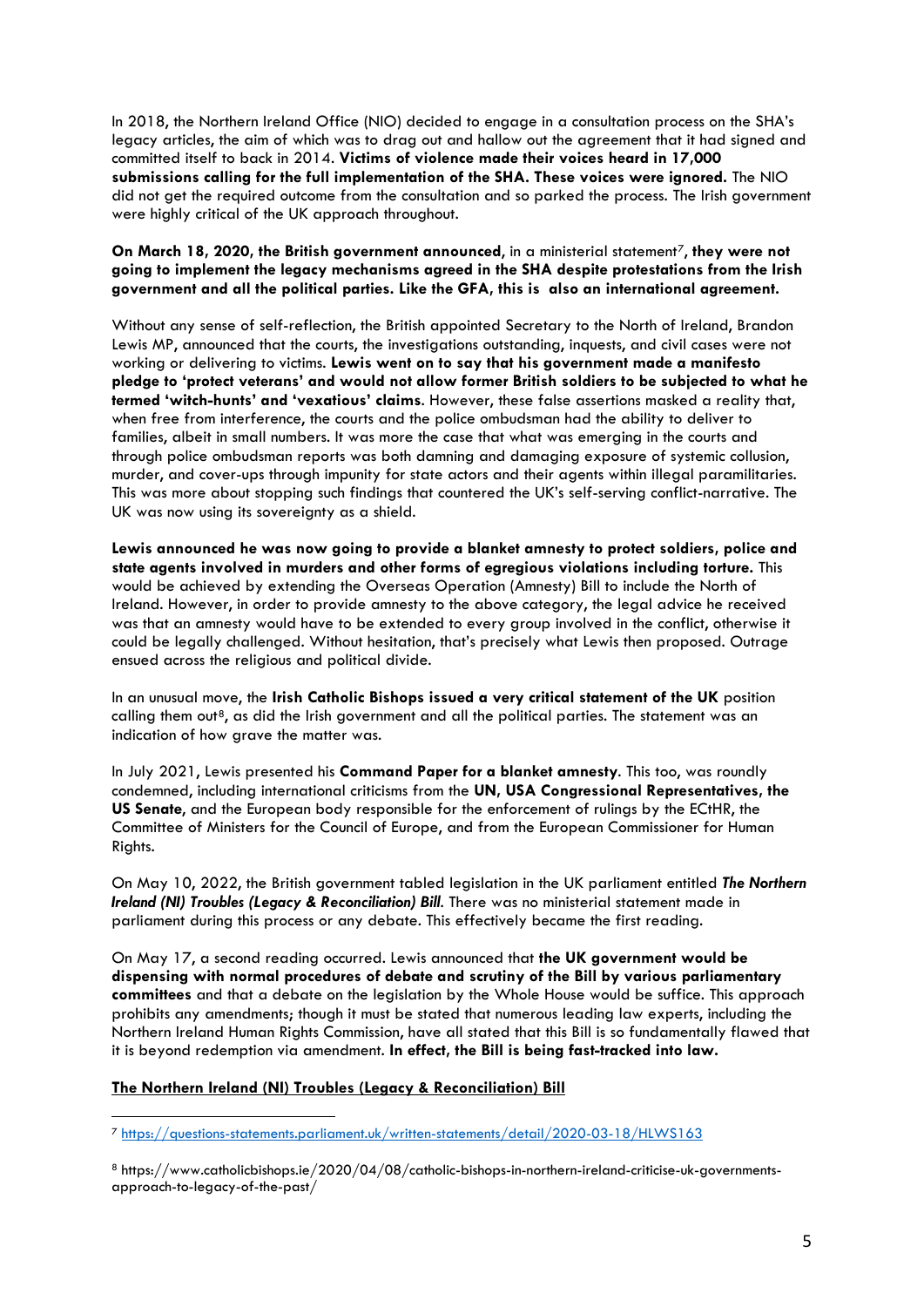In 2018, the Northern Ireland Office (NIO) decided to engage in a consultation process on the SHA's legacy articles, the aim of which was to drag out and hallow out the agreement that it had signed and committed itself to back in 2014. **Victims of violence made their voices heard in 17,000 submissions calling for the full implementation of the SHA. These voices were ignored.** The NIO did not get the required outcome from the consultation and so parked the process. The Irish government were highly critical of the UK approach throughout.

# **On March 18, 2020, the British government announced**, in a ministerial statement[7,](#page-4-0) **they were not going to implement the legacy mechanisms agreed in the SHA despite protestations from the Irish government and all the political parties. Like the GFA, this is also an international agreement.**

Without any sense of self-reflection, the British appointed Secretary to the North of Ireland, Brandon Lewis MP, announced that the courts, the investigations outstanding, inquests, and civil cases were not working or delivering to victims. **Lewis went on to say that his government made a manifesto pledge to 'protect veterans' and would not allow former British soldiers to be subjected to what he termed 'witch-hunts' and 'vexatious' claims**. However, these false assertions masked a reality that, when free from interference, the courts and the police ombudsman had the ability to deliver to families, albeit in small numbers. It was more the case that what was emerging in the courts and through police ombudsman reports was both damning and damaging exposure of systemic collusion, murder, and cover-ups through impunity for state actors and their agents within illegal paramilitaries. This was more about stopping such findings that countered the UK's self-serving conflict-narrative. The UK was now using its sovereignty as a shield.

**Lewis announced he was now going to provide a blanket amnesty to protect soldiers, police and state agents involved in murders and other forms of egregious violations including torture.** This would be achieved by extending the Overseas Operation (Amnesty) Bill to include the North of Ireland. However, in order to provide amnesty to the above category, the legal advice he received was that an amnesty would have to be extended to every group involved in the conflict, otherwise it could be legally challenged. Without hesitation, that's precisely what Lewis then proposed. Outrage ensued across the religious and political divide.

In an unusual move, the **Irish Catholic Bishops issued a very critical statement of the UK** position calling them out<sup>8</sup>, as did the Irish government and all the political parties. The statement was an indication of how grave the matter was.

In July 2021, Lewis presented his **Command Paper for a blanket amnesty**. This too, was roundly condemned, including international criticisms from the **UN, USA Congressional Representatives, the US Senate**, and the European body responsible for the enforcement of rulings by the ECtHR, the Committee of Ministers for the Council of Europe, and from the European Commissioner for Human Rights.

On May 10, 2022, the British government tabled legislation in the UK parliament entitled *The Northern Ireland (NI) Troubles (Legacy & Reconciliation) Bill*. There was no ministerial statement made in parliament during this process or any debate. This effectively became the first reading.

On May 17, a second reading occurred. Lewis announced that **the UK government would be dispensing with normal procedures of debate and scrutiny of the Bill by various parliamentary committees** and that a debate on the legislation by the Whole House would be suffice. This approach prohibits any amendments; though it must be stated that numerous leading law experts, including the Northern Ireland Human Rights Commission, have all stated that this Bill is so fundamentally flawed that it is beyond redemption via amendment. **In effect, the Bill is being fast-tracked into law.**

# **The Northern Ireland (NI) Troubles (Legacy & Reconciliation) Bill**

<span id="page-4-0"></span><sup>-</sup><sup>7</sup> <https://questions-statements.parliament.uk/written-statements/detail/2020-03-18/HLWS163>

<span id="page-4-1"></span><sup>8</sup> https://www.catholicbishops.ie/2020/04/08/catholic-bishops-in-northern-ireland-criticise-uk-governmentsapproach-to-legacy-of-the-past/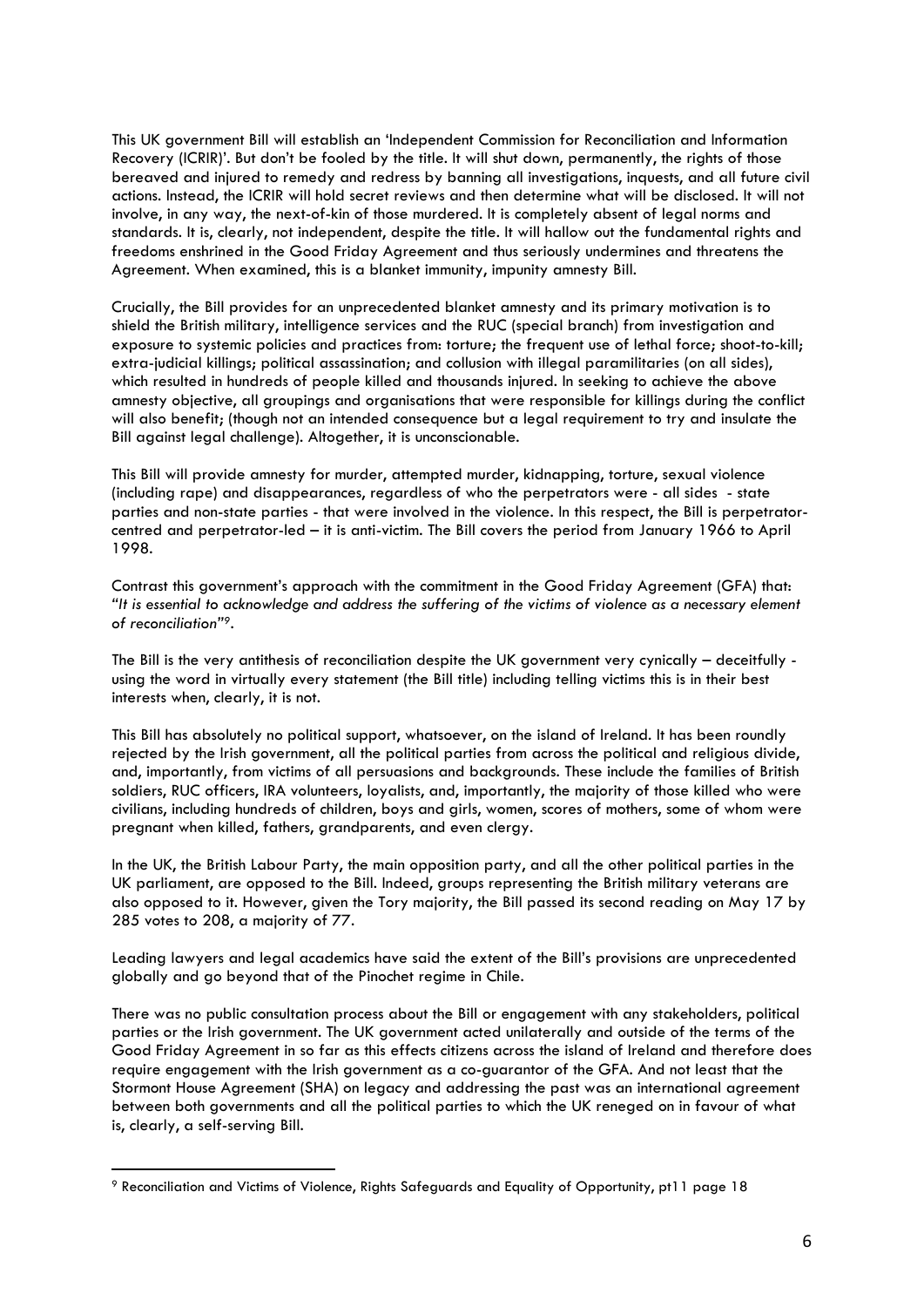This UK government Bill will establish an 'Independent Commission for Reconciliation and Information Recovery (ICRIR)'. But don't be fooled by the title. It will shut down, permanently, the rights of those bereaved and injured to remedy and redress by banning all investigations, inquests, and all future civil actions. Instead, the ICRIR will hold secret reviews and then determine what will be disclosed. It will not involve, in any way, the next-of-kin of those murdered. It is completely absent of legal norms and standards. It is, clearly, not independent, despite the title. It will hallow out the fundamental rights and freedoms enshrined in the Good Friday Agreement and thus seriously undermines and threatens the Agreement. When examined, this is a blanket immunity, impunity amnesty Bill.

Crucially, the Bill provides for an unprecedented blanket amnesty and its primary motivation is to shield the British military, intelligence services and the RUC (special branch) from investigation and exposure to systemic policies and practices from: torture; the frequent use of lethal force; shoot-to-kill; extra-judicial killings; political assassination; and collusion with illegal paramilitaries (on all sides), which resulted in hundreds of people killed and thousands injured. In seeking to achieve the above amnesty objective, all groupings and organisations that were responsible for killings during the conflict will also benefit; (though not an intended consequence but a legal requirement to try and insulate the Bill against legal challenge). Altogether, it is unconscionable.

This Bill will provide amnesty for murder, attempted murder, kidnapping, torture, sexual violence (including rape) and disappearances, regardless of who the perpetrators were - all sides - state parties and non-state parties - that were involved in the violence. In this respect, the Bill is perpetratorcentred and perpetrator-led – it is anti-victim. The Bill covers the period from January 1966 to April 1998.

Contrast this government's approach with the commitment in the Good Friday Agreement (GFA) that: *"It is essential to acknowledge and address the suffering of the victims of violence as a necessary element of reconciliation"[9](#page-5-0).* 

The Bill is the very antithesis of reconciliation despite the UK government very cynically – deceitfully using the word in virtually every statement (the Bill title) including telling victims this is in their best interests when, clearly, it is not.

This Bill has absolutely no political support, whatsoever, on the island of Ireland. It has been roundly rejected by the Irish government, all the political parties from across the political and religious divide, and, importantly, from victims of all persuasions and backgrounds. These include the families of British soldiers, RUC officers, IRA volunteers, loyalists, and, importantly, the majority of those killed who were civilians, including hundreds of children, boys and girls, women, scores of mothers, some of whom were pregnant when killed, fathers, grandparents, and even clergy.

In the UK, the British Labour Party, the main opposition party, and all the other political parties in the UK parliament, are opposed to the Bill. Indeed, groups representing the British military veterans are also opposed to it. However, given the Tory majority, the Bill passed its second reading on May 17 by 285 votes to 208, a majority of 77.

Leading lawyers and legal academics have said the extent of the Bill's provisions are unprecedented globally and go beyond that of the Pinochet regime in Chile.

There was no public consultation process about the Bill or engagement with any stakeholders, political parties or the Irish government. The UK government acted unilaterally and outside of the terms of the Good Friday Agreement in so far as this effects citizens across the island of Ireland and therefore does require engagement with the Irish government as a co-guarantor of the GFA. And not least that the Stormont House Agreement (SHA) on legacy and addressing the past was an international agreement between both governments and all the political parties to which the UK reneged on in favour of what is, clearly, a self-serving Bill.

1

<span id="page-5-0"></span><sup>9</sup> Reconciliation and Victims of Violence, Rights Safeguards and Equality of Opportunity, pt11 page 18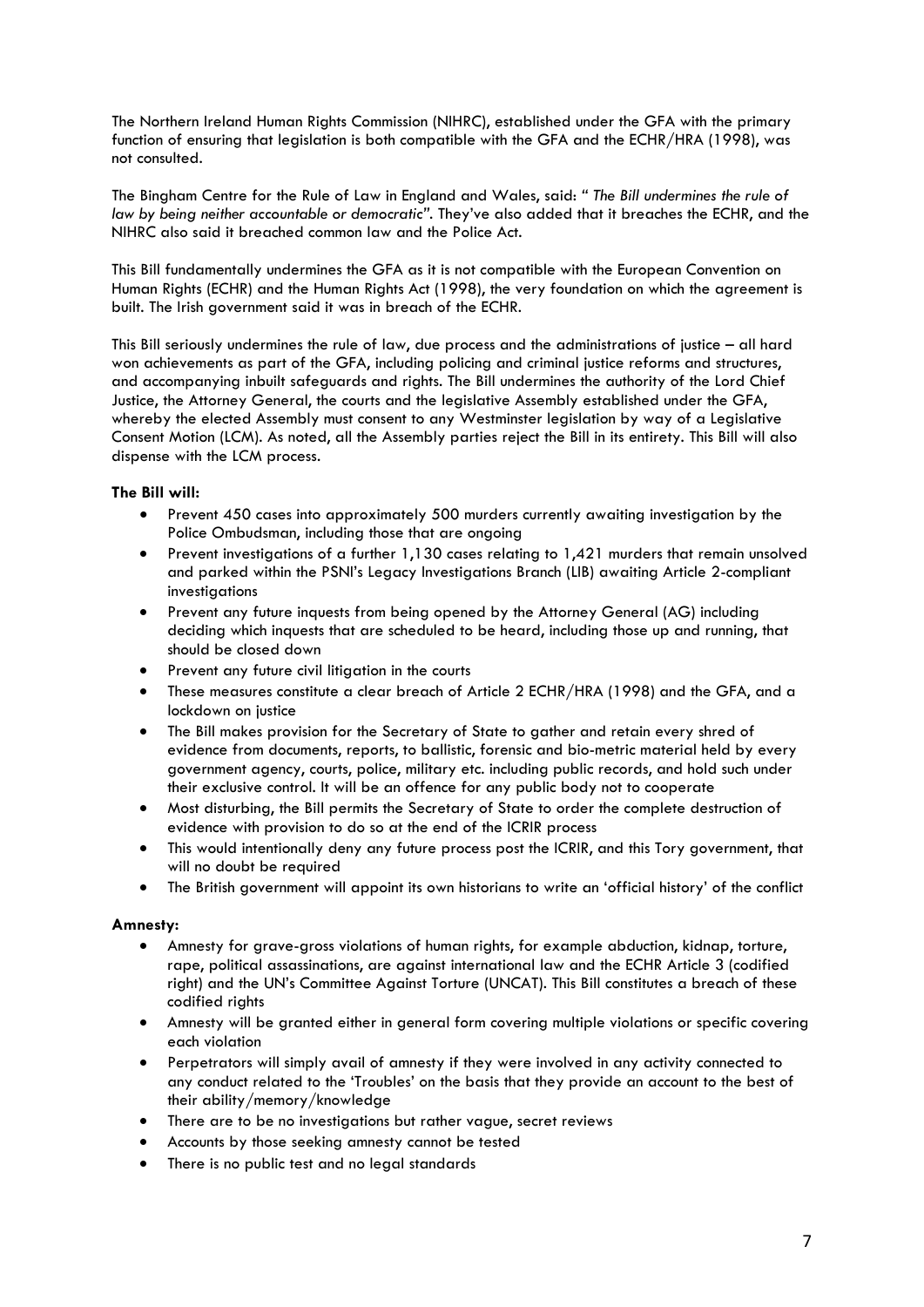The Northern Ireland Human Rights Commission (NIHRC), established under the GFA with the primary function of ensuring that legislation is both compatible with the GFA and the ECHR/HRA (1998), was not consulted.

The Bingham Centre for the Rule of Law in England and Wales, said: *" The Bill undermines the rule of law by being neither accountable or democratic".* They've also added that it breaches the ECHR, and the NIHRC also said it breached common law and the Police Act.

This Bill fundamentally undermines the GFA as it is not compatible with the European Convention on Human Rights (ECHR) and the Human Rights Act (1998), the very foundation on which the agreement is built. The Irish government said it was in breach of the ECHR.

This Bill seriously undermines the rule of law, due process and the administrations of justice – all hard won achievements as part of the GFA, including policing and criminal justice reforms and structures, and accompanying inbuilt safeguards and rights. The Bill undermines the authority of the Lord Chief Justice, the Attorney General, the courts and the legislative Assembly established under the GFA, whereby the elected Assembly must consent to any Westminster legislation by way of a Legislative Consent Motion (LCM). As noted, all the Assembly parties reject the Bill in its entirety. This Bill will also dispense with the LCM process.

# **The Bill will:**

- Prevent 450 cases into approximately 500 murders currently awaiting investigation by the Police Ombudsman, including those that are ongoing
- Prevent investigations of a further 1,130 cases relating to 1,421 murders that remain unsolved and parked within the PSNI's Legacy Investigations Branch (LIB) awaiting Article 2-compliant investiaations
- Prevent any future inquests from being opened by the Attorney General (AG) including deciding which inquests that are scheduled to be heard, including those up and running, that should be closed down
- Prevent any future civil litigation in the courts
- These measures constitute a clear breach of Article 2 ECHR/HRA (1998) and the GFA, and a lockdown on justice
- The Bill makes provision for the Secretary of State to gather and retain every shred of evidence from documents, reports, to ballistic, forensic and bio-metric material held by every government agency, courts, police, military etc. including public records, and hold such under their exclusive control. It will be an offence for any public body not to cooperate
- Most disturbing, the Bill permits the Secretary of State to order the complete destruction of evidence with provision to do so at the end of the ICRIR process
- This would intentionally deny any future process post the ICRIR, and this Tory government, that will no doubt be required
- The British government will appoint its own historians to write an 'official history' of the conflict

# **Amnesty:**

- Amnesty for grave-gross violations of human rights, for example abduction, kidnap, torture, rape, political assassinations, are against international law and the ECHR Article 3 (codified right) and the UN's Committee Against Torture (UNCAT). This Bill constitutes a breach of these codified rights
- Amnesty will be granted either in general form covering multiple violations or specific covering each violation
- Perpetrators will simply avail of amnesty if they were involved in any activity connected to any conduct related to the 'Troubles' on the basis that they provide an account to the best of their ability/memory/knowledge
- There are to be no investigations but rather vague, secret reviews
- Accounts by those seeking amnesty cannot be tested
- There is no public test and no legal standards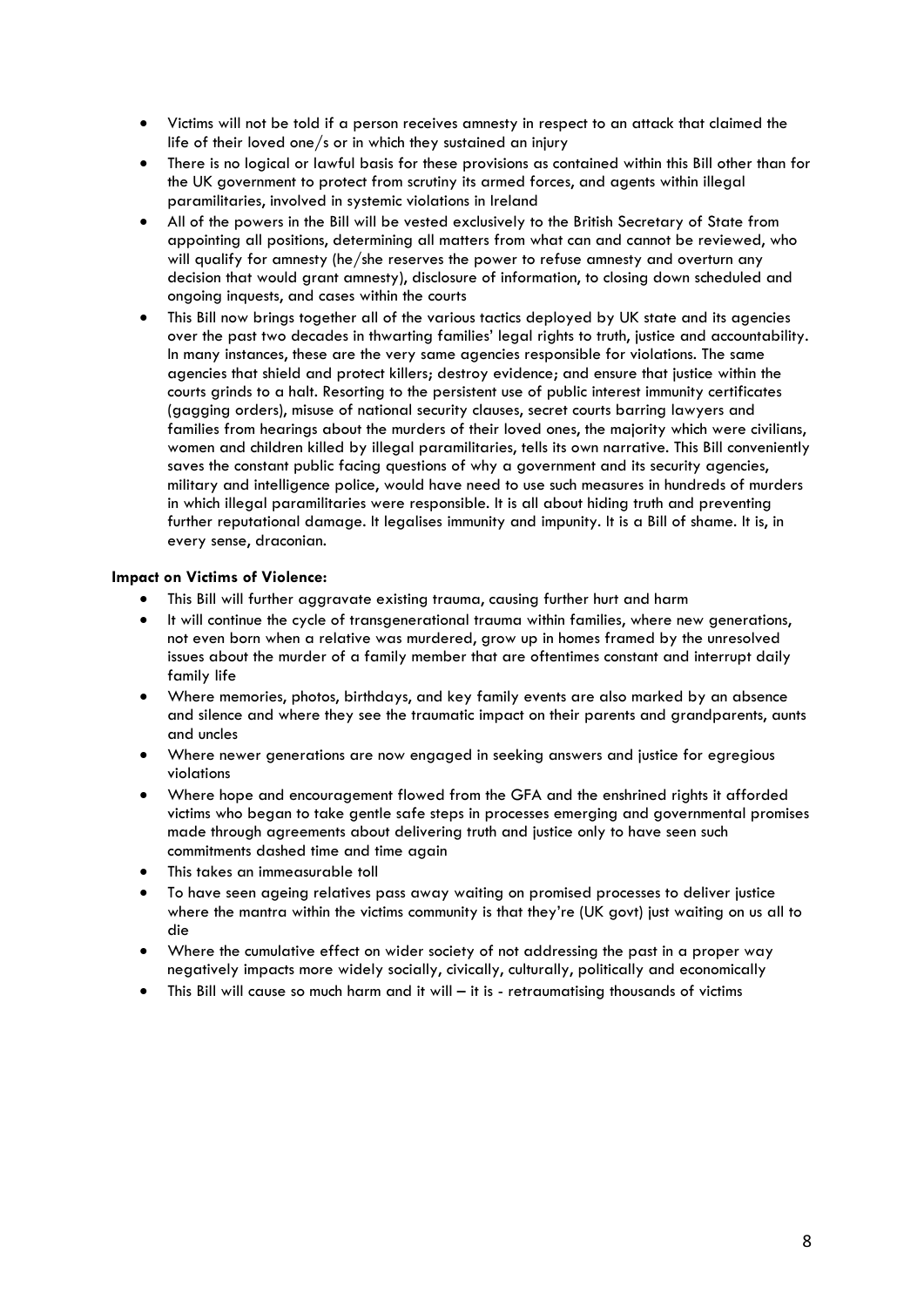- Victims will not be told if a person receives amnesty in respect to an attack that claimed the life of their loved one/s or in which they sustained an injury
- There is no logical or lawful basis for these provisions as contained within this Bill other than for the UK government to protect from scrutiny its armed forces, and agents within illegal paramilitaries, involved in systemic violations in Ireland
- All of the powers in the Bill will be vested exclusively to the British Secretary of State from appointing all positions, determining all matters from what can and cannot be reviewed, who will qualify for amnesty (he/she reserves the power to refuse amnesty and overturn any decision that would grant amnesty), disclosure of information, to closing down scheduled and ongoing inquests, and cases within the courts
- This Bill now brings together all of the various tactics deployed by UK state and its agencies over the past two decades in thwarting families' legal rights to truth, justice and accountability. In many instances, these are the very same agencies responsible for violations. The same agencies that shield and protect killers; destroy evidence; and ensure that justice within the courts grinds to a halt. Resorting to the persistent use of public interest immunity certificates (gagging orders), misuse of national security clauses, secret courts barring lawyers and families from hearings about the murders of their loved ones, the majority which were civilians, women and children killed by illegal paramilitaries, tells its own narrative. This Bill conveniently saves the constant public facing questions of why a government and its security agencies, military and intelligence police, would have need to use such measures in hundreds of murders in which illegal paramilitaries were responsible. It is all about hiding truth and preventing further reputational damage. It legalises immunity and impunity. It is a Bill of shame. It is, in every sense, draconian.

#### **Impact on Victims of Violence:**

- This Bill will further aggravate existing trauma, causing further hurt and harm
- It will continue the cycle of transgenerational trauma within families, where new generations, not even born when a relative was murdered, grow up in homes framed by the unresolved issues about the murder of a family member that are oftentimes constant and interrupt daily family life
- Where memories, photos, birthdays, and key family events are also marked by an absence and silence and where they see the traumatic impact on their parents and grandparents, aunts and uncles
- Where newer generations are now engaged in seeking answers and justice for egregious violations
- Where hope and encouragement flowed from the GFA and the enshrined rights it afforded victims who began to take gentle safe steps in processes emerging and governmental promises made through agreements about delivering truth and justice only to have seen such commitments dashed time and time again
- This takes an immeasurable toll
- To have seen ageing relatives pass away waiting on promised processes to deliver justice where the mantra within the victims community is that they're (UK govt) just waiting on us all to die
- Where the cumulative effect on wider society of not addressing the past in a proper way negatively impacts more widely socially, civically, culturally, politically and economically
- This Bill will cause so much harm and it will  $-$  it is retraumatising thousands of victims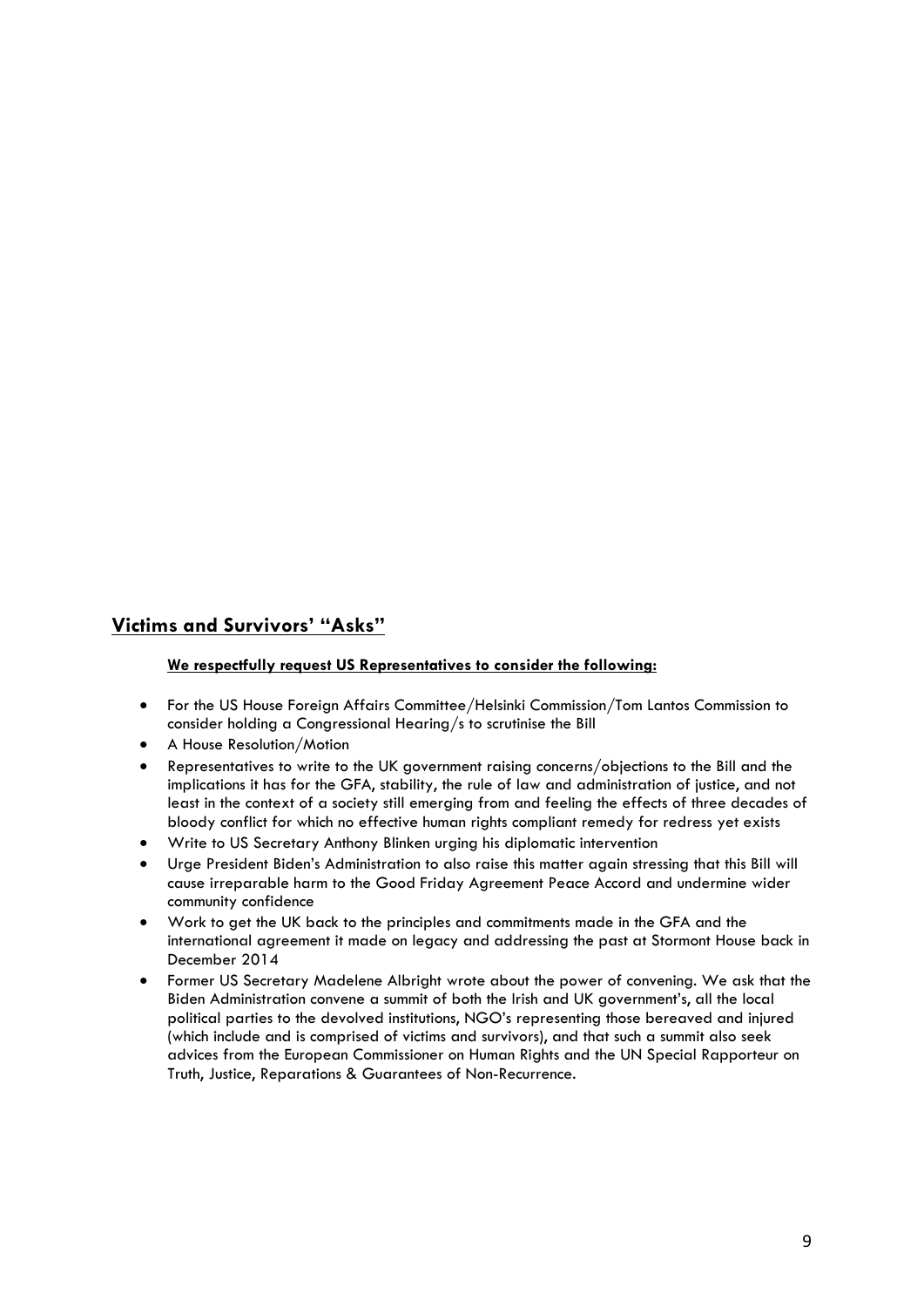# **Victims and Survivors' "Asks"**

# **We respectfully request US Representatives to consider the following:**

- For the US House Foreign Affairs Committee/Helsinki Commission/Tom Lantos Commission to consider holding a Congressional Hearing/s to scrutinise the Bill
- A House Resolution/Motion
- Representatives to write to the UK government raising concerns/objections to the Bill and the implications it has for the GFA, stability, the rule of law and administration of justice, and not least in the context of a society still emerging from and feeling the effects of three decades of bloody conflict for which no effective human rights compliant remedy for redress yet exists
- Write to US Secretary Anthony Blinken urging his diplomatic intervention
- Urge President Biden's Administration to also raise this matter again stressing that this Bill will cause irreparable harm to the Good Friday Agreement Peace Accord and undermine wider community confidence
- Work to get the UK back to the principles and commitments made in the GFA and the international agreement it made on legacy and addressing the past at Stormont House back in December 2014
- Former US Secretary Madelene Albright wrote about the power of convening. We ask that the Biden Administration convene a summit of both the Irish and UK government's, all the local political parties to the devolved institutions, NGO's representing those bereaved and injured (which include and is comprised of victims and survivors), and that such a summit also seek advices from the European Commissioner on Human Rights and the UN Special Rapporteur on Truth, Justice, Reparations & Guarantees of Non-Recurrence.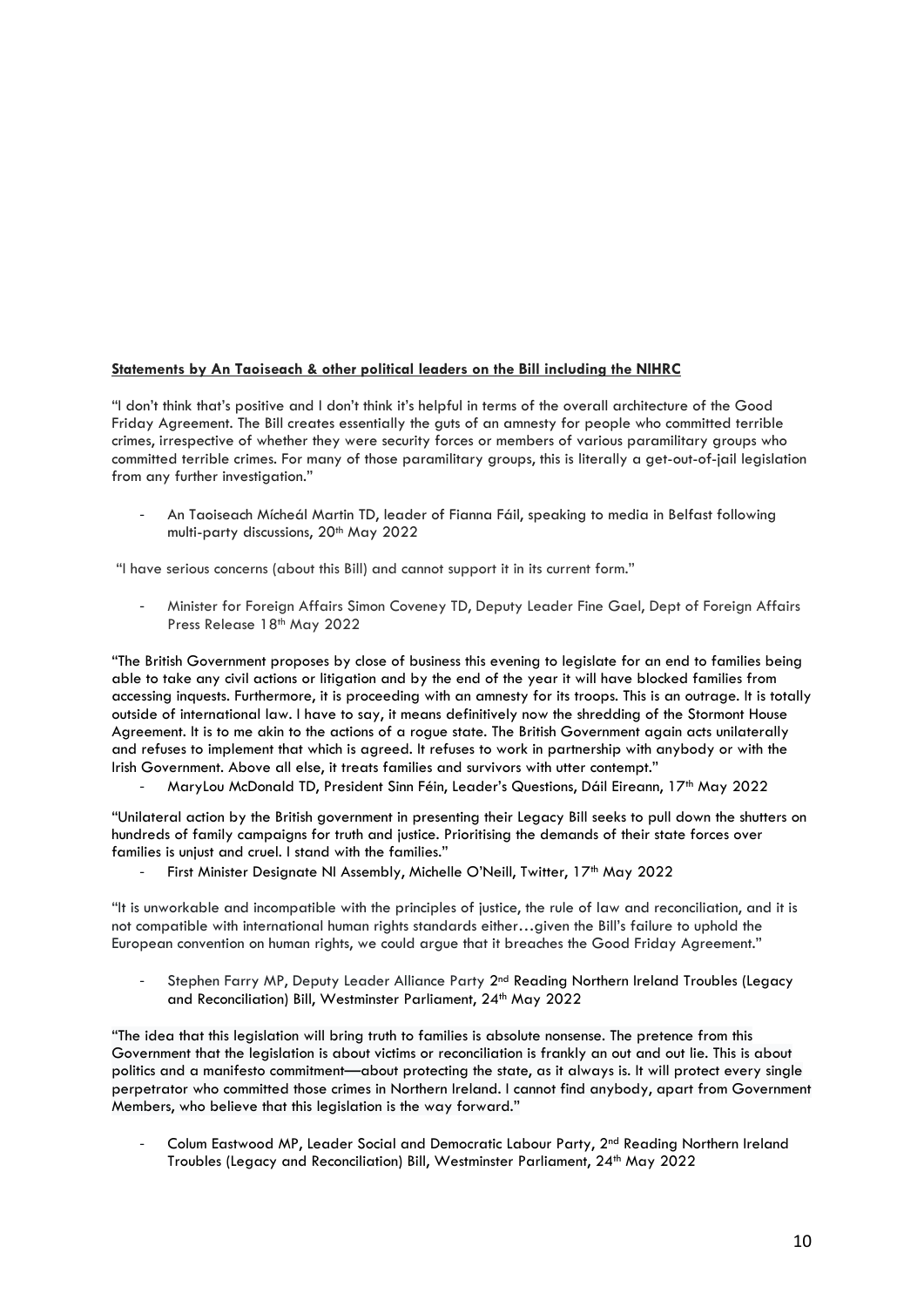# **Statements by An Taoiseach & other political leaders on the Bill including the NIHRC**

"I don't think that's positive and I don't think it's helpful in terms of the overall architecture of the Good Friday Agreement. The Bill creates essentially the guts of an amnesty for people who committed terrible crimes, irrespective of whether they were security forces or members of various paramilitary groups who committed terrible crimes. For many of those paramilitary groups, this is literally a get-out-of-jail legislation from any further investigation."

- An Taoiseach Mícheál Martin TD, leader of Fianna Fáil, speaking to media in Belfast following multi-party discussions, 20<sup>th</sup> May 2022

"I have serious concerns (about this Bill) and cannot support it in its current form."

- Minister for Foreign Affairs Simon Coveney TD, Deputy Leader Fine Gael, Dept of Foreign Affairs Press Release 18th May 2022

"The British Government proposes by close of business this evening to legislate for an end to families being able to take any civil actions or litigation and by the end of the year it will have blocked families from accessing inquests. Furthermore, it is proceeding with an amnesty for its troops. This is an outrage. It is totally outside of international law. I have to say, it means definitively now the shredding of the Stormont House Agreement. It is to me akin to the actions of a rogue state. The British Government again acts unilaterally and refuses to implement that which is agreed. It refuses to work in partnership with anybody or with the Irish Government. Above all else, it treats families and survivors with utter contempt."

MaryLou McDonald TD, President Sinn Féin, Leader's Questions, Dáil Eireann, 17<sup>th</sup> May 2022

"Unilateral action by the British government in presenting their Legacy Bill seeks to pull down the shutters on hundreds of family campaigns for truth and justice. Prioritising the demands of their state forces over families is unjust and cruel. I stand with the families."

First Minister Designate NI Assembly, Michelle O'Neill, Twitter, 17<sup>th</sup> May 2022

"It is unworkable and incompatible with the principles of justice, the rule of law and reconciliation, and it is not compatible with international human rights standards either…given the Bill's failure to uphold the European convention on human rights, we could argue that it breaches the Good Friday Agreement."

Stephen Farry MP, Deputy Leader Alliance Party 2<sup>nd</sup> Reading Northern Ireland Troubles (Legacy and Reconciliation) Bill, Westminster Parliament, 24<sup>th</sup> May 2022

"The idea that this legislation will bring truth to families is absolute nonsense. The pretence from this Government that the legislation is about victims or reconciliation is frankly an out and out lie. This is about politics and a manifesto commitment—about protecting the state, as it always is. It will protect every single perpetrator who committed those crimes in Northern Ireland. I cannot find anybody, apart from Government Members, who believe that this legislation is the way forward."

Colum Eastwood MP, Leader Social and Democratic Labour Party, 2<sup>nd</sup> Reading Northern Ireland Troubles (Legacy and Reconciliation) Bill, Westminster Parliament, 24<sup>th</sup> May 2022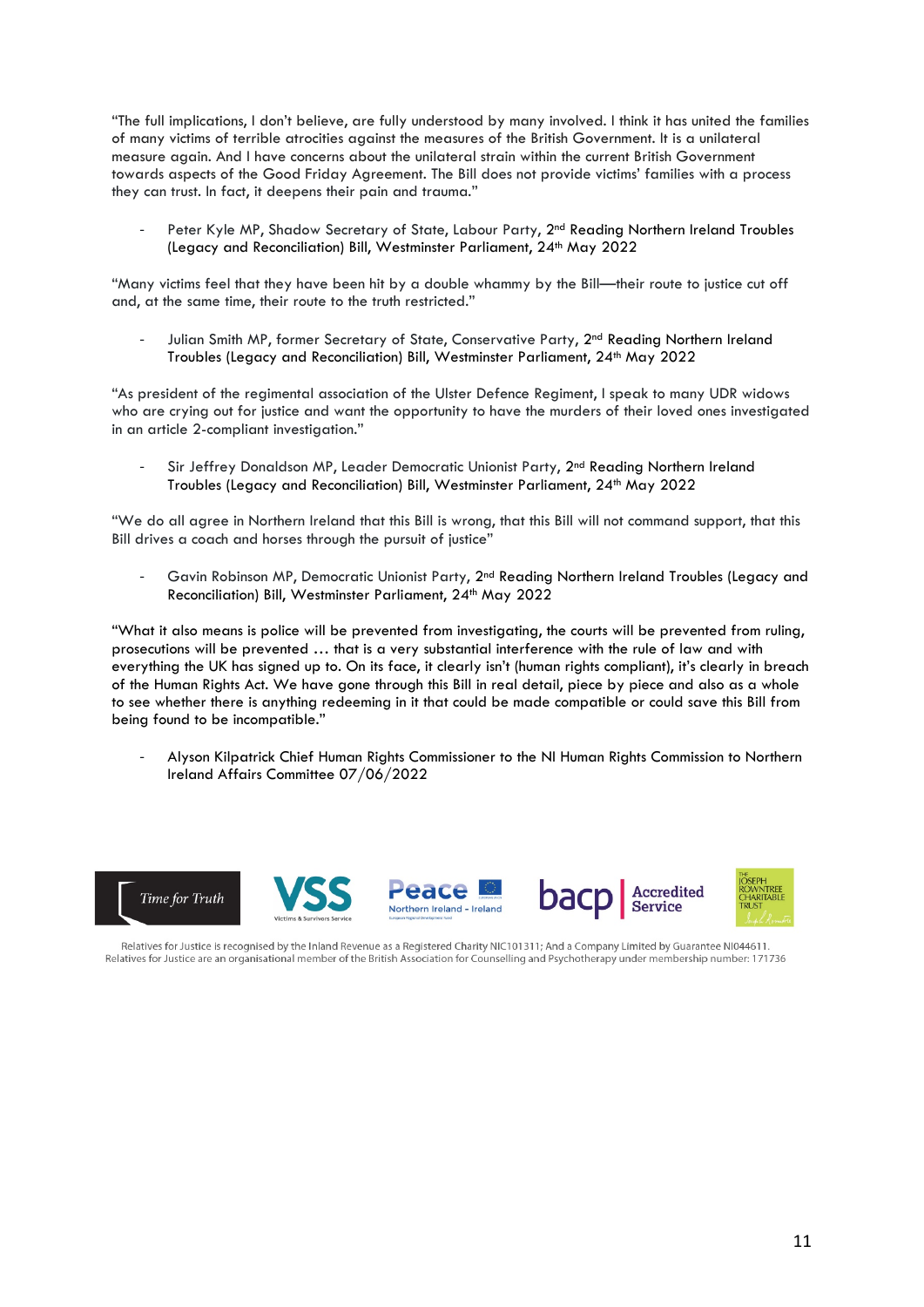"The full implications, I don't believe, are fully understood by many involved. I think it has united the families of many victims of terrible atrocities against the measures of the British Government. It is a unilateral measure again. And I have concerns about the unilateral strain within the current British Government towards aspects of the Good Friday Agreement. The Bill does not provide victims' families with a process they can trust. In fact, it deepens their pain and trauma."

Peter Kyle MP, Shadow Secretary of State, Labour Party, 2<sup>nd</sup> Reading Northern Ireland Troubles (Legacy and Reconciliation) Bill, Westminster Parliament, 24<sup>th</sup> May 2022

"Many victims feel that they have been hit by a double whammy by the Bill—their route to justice cut off and, at the same time, their route to the truth restricted."

Julian Smith MP, former Secretary of State, Conservative Party, 2<sup>nd</sup> Reading Northern Ireland Troubles (Legacy and Reconciliation) Bill, Westminster Parliament, 24th May 2022

"As president of the regimental association of the Ulster Defence Regiment, I speak to many UDR widows who are crying out for justice and want the opportunity to have the murders of their loved ones investigated in an article 2-compliant investigation."

Sir Jeffrey Donaldson MP, Leader Democratic Unionist Party, 2<sup>nd</sup> Reading Northern Ireland Troubles (Legacy and Reconciliation) Bill, Westminster Parliament, 24th May 2022

"We do all agree in Northern Ireland that this Bill is wrong, that this Bill will not command support, that this Bill drives a coach and horses through the pursuit of justice"

Gavin Robinson MP, Democratic Unionist Party, 2<sup>nd</sup> Reading Northern Ireland Troubles (Legacy and Reconciliation) Bill, Westminster Parliament, 24<sup>th</sup> May 2022

"What it also means is police will be prevented from investigating, the courts will be prevented from ruling, prosecutions will be prevented … that is a very substantial interference with the rule of law and with everything the UK has signed up to. On its face, it clearly isn't (human rights compliant), it's clearly in breach of the Human Rights Act. We have gone through this Bill in real detail, piece by piece and also as a whole to see whether there is anything redeeming in it that could be made compatible or could save this Bill from being found to be incompatible."

- Alyson Kilpatrick Chief Human Rights Commissioner to the NI Human Rights Commission to Northern Ireland Affairs Committee 07/06/2022











Relatives for Justice is recognised by the Inland Revenue as a Registered Charity NIC101311; And a Company Limited by Guarantee NI044611. Relatives for Justice are an organisational member of the British Association for Counselling and Psychotherapy under membership number: 171736